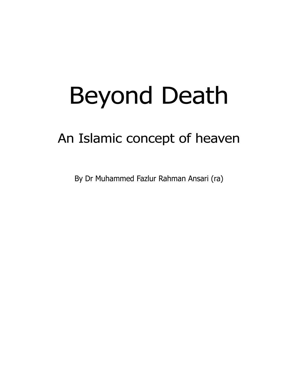# Beyond Death

## An Islamic concept of heaven

By Dr Muhammed Fazlur Rahman Ansari (ra)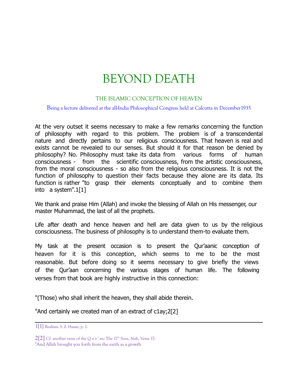## BEYOND DEATH

### THE ISLAMIC CONCEPTION OF HEAVEN

#### Being a lecture delivered at the all-India Philosophical Congress held at Calcutta in December1935

At the very outset it seems necessary to make a few remarks concerning the function of philosophy with regard to this problem. The problem is of a transcendental nature and directly pertains to our religious consciousness. That heaven is real and exists cannot be revealed to our senses. But should it for that reason be denied by philosophy? No. Philosophy must take its data from various forms of human consciousness - from the scientific consciousness, from the artistic consciousness, from the moral consciousness - so also from the religious consciousness. It is not the function of philosophy to question their facts because they alone are its data. Its function is rather "to grasp their elements conceptually and to combine them into a system".1[1]

We thank and praise Him (Allah) and invoke the blessing of Allah on His messenger, our master Muhammad, the last of all the prophets.

Life after death and hence heaven and hell are data given to us by the religious consciousness. The business of philosophy is to understand them-to evaluate them.

My task at the present occasion is to present the Qur'aanic conception of heaven for it is this conception, which seems to me to be the most reasonable. But before doing so it seems necessary to give briefly the views of the Qur'aan concerning the various stages of human life. The following verses from that book are highly instructive in this connection:

"(Those) who shall inherit the heaven, they shall abide therein.

"And certainly we created man of an extract of c1ay;2[2]

<sup>1[1]</sup> Realism. S. Z. Hasan, p. 2.

 $2[2]$  Cf. another verse of the Q u r ' an: The  $17<sup>th</sup>$  Sura, Nuh, Verse 17:

<sup>&</sup>quot;And Allah brought you forth from the earth as a growth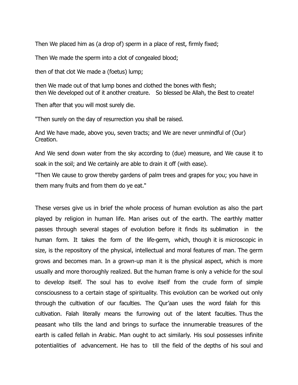Then We placed him as (a drop of) sperm in a place of rest, firmly fixed;

Then We made the sperm into a clot of congealed blood;

then of that clot We made a (foetus) lump;

then We made out of that lump bones and clothed the bones with flesh; then We developed out of it another creature. So blessed be Allah, the Best to create!

Then after that you will most surely die.

"Then surely on the day of resurrection you shall be raised.

And We have made, above you, seven tracts; and We are never unmindful of (Our) Creation.

And We send down water from the sky according to (due) measure, and We cause it to soak in the soil; and We certainly are able to drain it off (with ease).

"Then We cause to grow thereby gardens of palm trees and grapes for you; you have in them many fruits and from them do ye eat."

These verses give us in brief the whole process of human evolution as also the part played by religion in human life. Man arises out of the earth. The earthly matter passes through several stages of evolution before it finds its sublimation in the human form. It takes the form of the life-germ, which, though it is microscopic in size, is the repository of the physical, intellectual and moral features of man. The germ grows and becomes man. In a grown-up man it is the physical aspect, which is more usually and more thoroughly realized. But the human frame is only a vehicle for the soul to develop itself. The soul has to evolve itself from the crude form of simple consciousness to a certain stage of spirituality. This evolution can be worked out only through the cultivation of our faculties. The Qur'aan uses the word falah for this cultivation. Falah literally means the furrowing out of the latent faculties. Thus the peasant who tills the land and brings to surface the innumerable treasures of the earth is called fellah in Arabic. Man ought to act similarly. His soul possesses infinite potentialities of advancement. He has to till the field of the depths of his soul and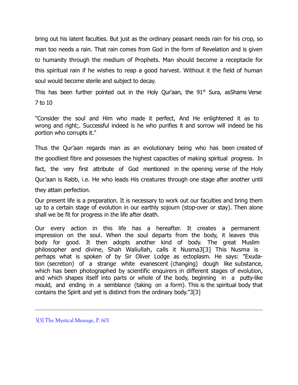bring out his latent faculties. But just as the ordinary peasant needs rain for his crop, so man too needs a rain. That rain comes from God in the form of Revelation and is given to humanity through the medium of Prophets. Man should become a receptacle for this spiritual rain if he wishes to reap a good harvest. Without it the field of human soul would become sterile and subject to decay.

This has been further pointed out in the Holy Qur'aan, the  $91<sup>st</sup>$  Sura, asShams Verse 7 to 10

"Consider the soul and Him who made it perfect, And He enlightened it as to wrong and right;. Successful indeed is he who purifies it and sorrow will indeed be his portion who corrupts it."

Thus the Qur'aan regards man as an evolutionary being who has been created of the goodliest fibre and possesses the highest capacities of making spiritual progress. In fact, the very first attribute of God mentioned in the opening verse of the Holy Qur'aan is Rabb, i.e. He who leads His creatures through one stage after another until they attain perfection.

Our present life is a preparation. It is necessary to work out our faculties and bring them up to a certain stage of evolution in our earthly sojourn (stop-over or stay). Then alone shall we be fit for progress in the life after death.

Our every action in this life has a hereafter. It creates a permanent impression on the soul. When the soul departs from the body, it leaves this body for good. It then adopts another kind of body. The great Muslim philosopher and divine, Shah Waliullah, calls it Nusma3[3] This Nusma is perhaps what is spoken of by Sir Oliver Lodge as ectoplasm. He says: "Exudation (secretion) of a strange white evanescent (changing) dough like substance, which has been photographed by scientific enquirers in different stages of evolution, and which shapes itself into parts or whole of the body, beginning in a putty-like mould, and ending in a semblance (taking on a form). This is the spiritual body that contains the Spirit and yet is distinct from the ordinary body."3[3]

<sup>3[3]</sup> The Mystical Message, P. 601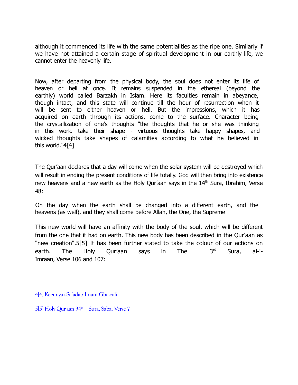although it commenced its life with the same potentialities as the ripe one. Similarly if we have not attained a certain stage of spiritual development in our earthly life, we cannot enter the heavenly life.

Now, after departing from the physical body, the soul does not enter its life of heaven or hell at once. It remains suspended in the ethereal (beyond the earthly) world called Barzakh in Islam. Here its faculties remain in abeyance, though intact, and this state will continue till the hour of resurrection when it will be sent to either heaven or hell. But the impressions, which it has acquired on earth through its actions, come to the surface. Character being the crystallization of one's thoughts "the thoughts that he or she was thinking in this world take their shape - virtuous thoughts take happy shapes, and wicked thoughts take shapes of calamities according to what he believed in this world."4[4]

The Qur'aan declares that a day will come when the solar system will be destroyed which will result in ending the present conditions of life totally. God will then bring into existence new heavens and a new earth as the Holy Qur'aan says in the  $14<sup>th</sup>$  Sura, Ibrahim, Verse 48:

On the day when the earth shall be changed into a different earth, and the heavens (as well), and they shall come before Allah, the One, the Supreme

This new world will have an affinity with the body of the soul, which will be different from the one that it had on earth. This new body has been described in the Qur'aan as "new creation".5[5] It has been further stated to take the colour of our actions on earth. The Holy Qur'aan says in The 3<sup>rd</sup> Sura, al-i-Imraan, Verse 106 and 107:

<sup>4[4]</sup> Keemiya-i-Sa'adat: Imam Ghazzali.

<sup>5[5]</sup> Holy Qur'aan 34<sup>th</sup> Sura, Saba, Verse 7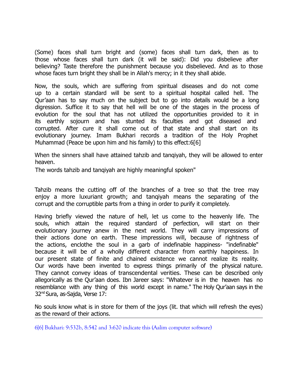(Some) faces shall turn bright and (some) faces shall turn dark, then as to those whose faces shall turn dark (it will be said): Did you disbelieve after believing? Taste therefore the punishment because you disbelieved. And as to those whose faces turn bright they shall be in Allah's mercy; in it they shall abide.

Now, the souls, which are suffering from spiritual diseases and do not come up to a certain standard will be sent to a spiritual hospital called hell. The Qur'aan has to say much on the subject but to go into details would be a long digression. Suffice it to say that hell will be one of the stages in the process of evolution for the soul that has not utilized the opportunities provided to it in its earthly sojourn and has stunted its faculties and got diseased and corrupted. After cure it shall come out of that state and shall start on its evolutionary journey. Imam Bukhari records a tradition of the Holy Prophet Muhammad (Peace be upon him and his family) to this effect:6[6]

When the sinners shall have attained tahzib and tanqiyah, they will be allowed to enter heaven.

The words tahzib and tanqiyah are highly meaningful spoken"

Tahzib means the cutting off of the branches of a tree so that the tree may enjoy a more luxuriant growth; and tanqiyah means the separating of the corrupt and the corruptible parts from a thing in order to purify it completely.

Having briefly viewed the nature of hell, let us come to the heavenly life. The souls, which attain the required standard of perfection, will start on their evolutionary journey anew in the next world. They will carry impressions of their actions done on earth. These impressions will, because of rightness of the actions, enclothe the soul in a garb of indefinable happiness- "indefinable" because it will be of a wholly different character from earthly happiness. In our present state of finite and chained existence we cannot realize its reality. Our words have been invented to express things primarily of the physical nature. They cannot convey ideas of transcendental verities. These can be described only allegorically as the Qur'aan does. Ibn Jareer says: "Whatever is in the heaven has no resemblance with any thing of this world except in name." The Holy Qur'aan says in the 32nd Sura, as-Sajda, Verse 17:

No souls know what is in store for them of the joys (lit. that which will refresh the eyes) as the reward of their actions.

6[6] Bukhari: 9:532b, 8:542 and 3:620 indicate this (Aalim computer software)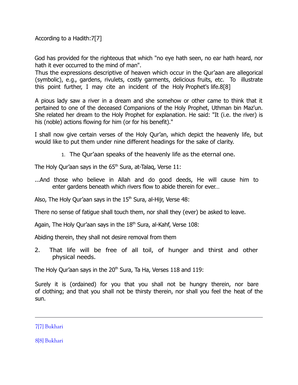According to a Hadith:7[7]

God has provided for the righteous that which "no eye hath seen, no ear hath heard, nor hath it ever occurred to the mind of man".

Thus the expressions descriptive of heaven which occur in the Qur'aan are allegorical (symbolic), e.g., gardens, rivulets, costly garments, delicious fruits, etc. To illustrate this point further, I may cite an incident of the Holy Prophet's life.8[8]

A pious lady saw a river in a dream and she somehow or other came to think that it pertained to one of the deceased Companions of the Holy Prophet, Uthman bin Maz'un. She related her dream to the Holy Prophet for explanation. He said: "It (i.e. the river) is his (noble) actions flowing for him (or for his benefit)."

I shall now give certain verses of the Holy Qur'an, which depict the heavenly life, but would like to put them under nine different headings for the sake of clarity.

1. The Qur'aan speaks of the heavenly life as the eternal one.

The Holy Qur'aan says in the  $65<sup>th</sup>$  Sura, at-Talaq, Verse 11:

...And those who believe in Allah and do good deeds, He will cause him to enter gardens beneath which rivers flow to abide therein for ever…

Also, The Holy Qur'aan says in the  $15<sup>th</sup>$  Sura, al-Hijr, Verse 48:

There no sense of fatigue shall touch them, nor shall they (ever) be asked to leave.

Again, The Holy Qur'aan says in the  $18<sup>th</sup>$  Sura, al-Kahf, Verse  $108$ :

Abiding therein, they shall not desire removal from them

2. That life will be free of all toil, of hunger and thirst and other physical needs.

The Holy Qur'aan says in the 20<sup>th</sup> Sura, Ta Ha, Verses 118 and 119:

Surely it is (ordained) for you that you shall not be hungry therein, nor bare of clothing; and that you shall not be thirsty therein, nor shall you feel the heat of the sun.

7[7] Bukhari

8[8] Bukhari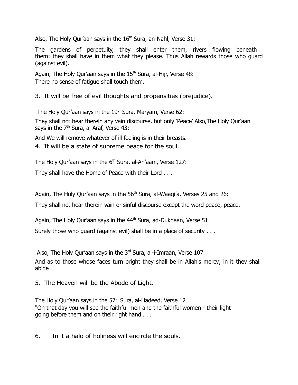Also, The Holy Qur'aan says in the  $16<sup>th</sup>$  Sura, an-Nahl, Verse 31:

The gardens of perpetuity, they shall enter them, rivers flowing beneath them: they shall have in them what they please. Thus Allah rewards those who guard (against evil).

Again, The Holy Qur'aan says in the  $15<sup>th</sup>$  Sura, al-Hijr, Verse 48: There no sense of fatigue shall touch them.

3. It will be free of evil thoughts and propensities (prejudice).

The Holy Qur'aan says in the  $19<sup>th</sup>$  Sura, Maryam, Verse 62:

They shall not hear therein any vain discourse, but only 'Peace' Also,The Holy Qur'aan says in the 7<sup>th</sup> Sura, al-Araf, Verse 43:

And We will remove whatever of ill feeling is in their breasts.

4. It will be a state of supreme peace for the soul.

The Holy Qur'aan says in the  $6<sup>th</sup>$  Sura, al-An'aam, Verse 127:

They shall have the Home of Peace with their Lord . . .

Again, The Holy Qur'aan says in the  $56<sup>th</sup>$  Sura, al-Waagi'a, Verses 25 and 26:

They shall not hear therein vain or sinful discourse except the word peace, peace.

Again, The Holy Qur'aan says in the  $44<sup>th</sup>$  Sura, ad-Dukhaan, Verse 51

Surely those who guard (against evil) shall be in a place of security . . .

Also, The Holy Qur'aan says in the 3rd Sura, al-i-Imraan, Verse 107 And as to those whose faces turn bright they shall be in Allah's mercy; in it they shall abide

5. The Heaven will be the Abode of Light.

The Holy Qur'aan says in the 57<sup>th</sup> Sura, al-Hadeed, Verse 12 "On that day you will see the faithful men and the faithful women - their light going before them and on their right hand . . .

6. In it a halo of holiness will encircle the souls.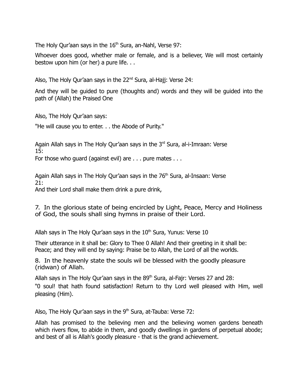The Holy Qur'aan says in the  $16<sup>th</sup>$  Sura, an-Nahl, Verse 97:

Whoever does good, whether male or female, and is a believer, We will most certainly bestow upon him (or her) a pure life. . .

Also, The Holy Qur'aan says in the 22<sup>nd</sup> Sura, al-Hajj: Verse 24:

And they will be guided to pure (thoughts and) words and they will be guided into the path of (Allah) the Praised One

Also, The Holy Qur'aan says:

"He will cause you to enter. . . the Abode of Purity."

Again Allah says in The Holy Qur'aan says in the 3rd Sura, al-i-Imraan: Verse 15:

For those who quard (against evil) are . . . pure mates . . .

Again Allah says in The Holy Qur'aan says in the 76<sup>th</sup> Sura, al-Insaan: Verse 21:

And their Lord shall make them drink a pure drink,

7. In the glorious state of being encircled by Light, Peace, Mercy and Holiness of God, the souls shall sing hymns in praise of their Lord.

Allah says in The Holy Qur'aan says in the  $10<sup>th</sup>$  Sura, Yunus: Verse 10

Their utterance in it shall be: Glory to Thee 0 Allah! And their greeting in it shall be: Peace; and they will end by saying: Praise be to Allah, the Lord of all the worlds.

8. In the heavenly state the souls wil be blessed with the goodly pleasure (ridwan) of Allah.

Allah says in The Holy Qur'aan says in the 89<sup>th</sup> Sura, al-Fajr: Verses 27 and 28: "0 soul! that hath found satisfaction! Return to thy Lord well pleased with Him, well pleasing (Him).

Also, The Holy Qur'aan says in the  $9<sup>th</sup>$  Sura, at-Tauba: Verse 72:

Allah has promised to the believing men and the believing women gardens beneath which rivers flow, to abide in them, and goodly dwellings in gardens of perpetual abode; and best of all is Allah's goodly pleasure - that is the grand achievement.